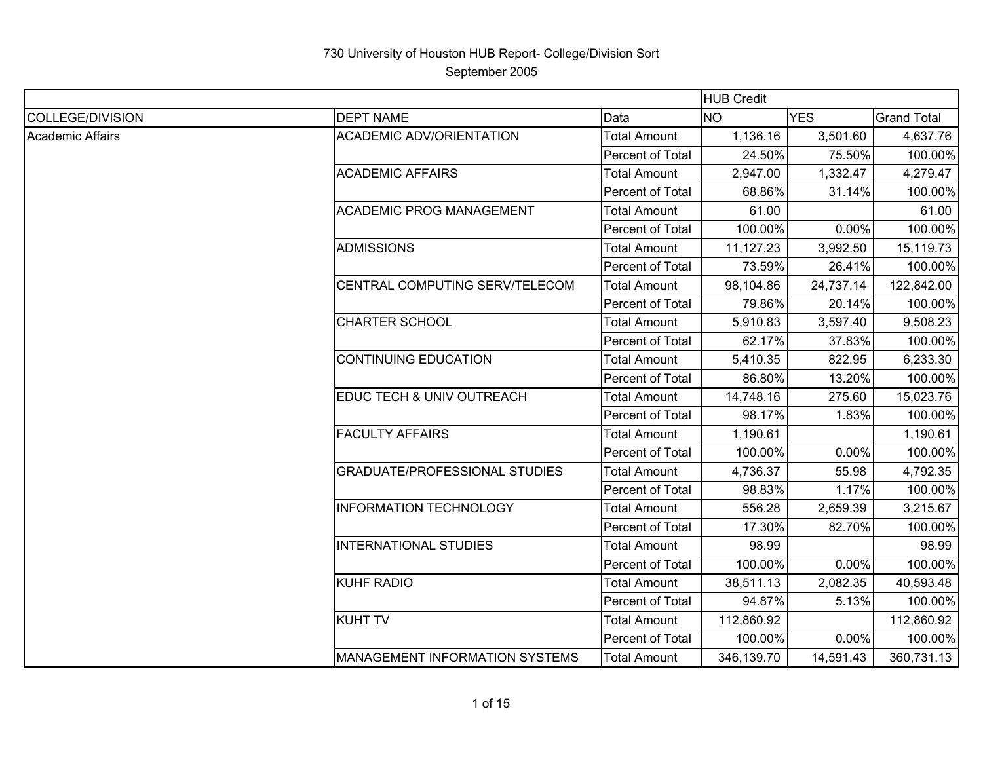|                         |                                       |                     | <b>HUB Credit</b> |            |                    |
|-------------------------|---------------------------------------|---------------------|-------------------|------------|--------------------|
| <b>COLLEGE/DIVISION</b> | <b>DEPT NAME</b>                      | Data                | <b>NO</b>         | <b>YES</b> | <b>Grand Total</b> |
| Academic Affairs        | <b>ACADEMIC ADV/ORIENTATION</b>       | Total Amount        | 1,136.16          | 3,501.60   | 4,637.76           |
|                         |                                       | Percent of Total    | 24.50%            | 75.50%     | 100.00%            |
|                         | <b>ACADEMIC AFFAIRS</b>               | <b>Total Amount</b> | 2,947.00          | 1,332.47   | 4,279.47           |
|                         |                                       | Percent of Total    | 68.86%            | 31.14%     | 100.00%            |
|                         | <b>ACADEMIC PROG MANAGEMENT</b>       | <b>Total Amount</b> | 61.00             |            | 61.00              |
|                         |                                       | Percent of Total    | 100.00%           | 0.00%      | 100.00%            |
|                         | <b>ADMISSIONS</b>                     | <b>Total Amount</b> | 11,127.23         | 3,992.50   | 15,119.73          |
|                         |                                       | Percent of Total    | 73.59%            | 26.41%     | 100.00%            |
|                         | CENTRAL COMPUTING SERV/TELECOM        | <b>Total Amount</b> | 98,104.86         | 24,737.14  | 122,842.00         |
|                         |                                       | Percent of Total    | 79.86%            | 20.14%     | 100.00%            |
|                         | <b>CHARTER SCHOOL</b>                 | <b>Total Amount</b> | 5,910.83          | 3,597.40   | 9,508.23           |
|                         |                                       | Percent of Total    | 62.17%            | 37.83%     | 100.00%            |
|                         | <b>CONTINUING EDUCATION</b>           | <b>Total Amount</b> | 5,410.35          | 822.95     | 6,233.30           |
|                         |                                       | Percent of Total    | 86.80%            | 13.20%     | 100.00%            |
|                         | EDUC TECH & UNIV OUTREACH             | <b>Total Amount</b> | 14,748.16         | 275.60     | 15,023.76          |
|                         |                                       | Percent of Total    | 98.17%            | 1.83%      | 100.00%            |
|                         | <b>FACULTY AFFAIRS</b>                | <b>Total Amount</b> | 1,190.61          |            | 1,190.61           |
|                         |                                       | Percent of Total    | 100.00%           | $0.00\%$   | 100.00%            |
|                         | <b>GRADUATE/PROFESSIONAL STUDIES</b>  | <b>Total Amount</b> | 4,736.37          | 55.98      | 4,792.35           |
|                         |                                       | Percent of Total    | 98.83%            | 1.17%      | 100.00%            |
|                         | <b>INFORMATION TECHNOLOGY</b>         | <b>Total Amount</b> | 556.28            | 2,659.39   | 3,215.67           |
|                         |                                       | Percent of Total    | 17.30%            | 82.70%     | 100.00%            |
|                         | <b>INTERNATIONAL STUDIES</b>          | <b>Total Amount</b> | 98.99             |            | 98.99              |
|                         |                                       | Percent of Total    | 100.00%           | $0.00\%$   | 100.00%            |
|                         | <b>KUHF RADIO</b>                     | <b>Total Amount</b> | 38,511.13         | 2,082.35   | 40,593.48          |
|                         |                                       | Percent of Total    | 94.87%            | 5.13%      | 100.00%            |
|                         | <b>KUHT TV</b>                        | <b>Total Amount</b> | 112,860.92        |            | 112,860.92         |
|                         |                                       | Percent of Total    | 100.00%           | $0.00\%$   | 100.00%            |
|                         | <b>MANAGEMENT INFORMATION SYSTEMS</b> | <b>Total Amount</b> | 346,139.70        | 14,591.43  | 360,731.13         |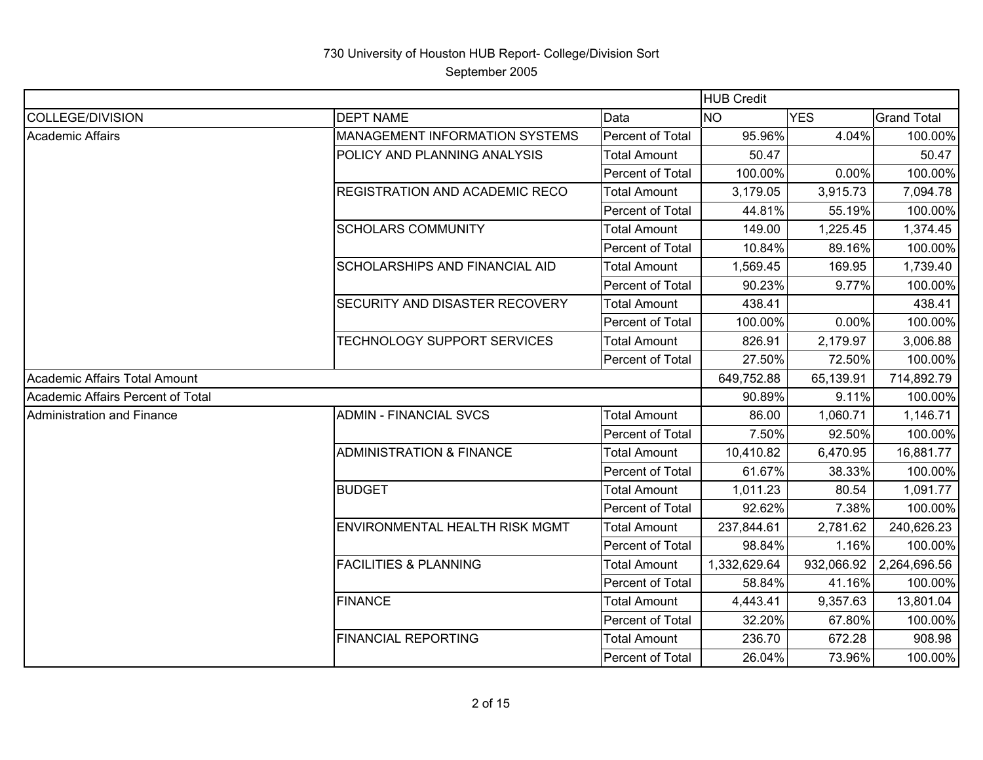|                                   |                                     |                     | <b>HUB Credit</b> |            |                    |
|-----------------------------------|-------------------------------------|---------------------|-------------------|------------|--------------------|
| COLLEGE/DIVISION                  | <b>DEPT NAME</b>                    | Data                | <b>NO</b>         | <b>YES</b> | <b>Grand Total</b> |
| <b>Academic Affairs</b>           | MANAGEMENT INFORMATION SYSTEMS      | Percent of Total    | 95.96%            | 4.04%      | 100.00%            |
|                                   | POLICY AND PLANNING ANALYSIS        | <b>Total Amount</b> | 50.47             |            | 50.47              |
|                                   |                                     | Percent of Total    | 100.00%           | 0.00%      | 100.00%            |
|                                   | REGISTRATION AND ACADEMIC RECO      | <b>Total Amount</b> | 3,179.05          | 3,915.73   | 7,094.78           |
|                                   |                                     | Percent of Total    | 44.81%            | 55.19%     | 100.00%            |
|                                   | <b>SCHOLARS COMMUNITY</b>           | <b>Total Amount</b> | 149.00            | 1,225.45   | 1,374.45           |
|                                   |                                     | Percent of Total    | 10.84%            | 89.16%     | 100.00%            |
|                                   | SCHOLARSHIPS AND FINANCIAL AID      | <b>Total Amount</b> | 1,569.45          | 169.95     | 1,739.40           |
|                                   |                                     | Percent of Total    | 90.23%            | 9.77%      | 100.00%            |
|                                   | SECURITY AND DISASTER RECOVERY      | <b>Total Amount</b> | 438.41            |            | 438.41             |
|                                   |                                     | Percent of Total    | 100.00%           | 0.00%      | 100.00%            |
|                                   | TECHNOLOGY SUPPORT SERVICES         | <b>Total Amount</b> | 826.91            | 2,179.97   | 3,006.88           |
|                                   |                                     | Percent of Total    | 27.50%            | 72.50%     | 100.00%            |
| Academic Affairs Total Amount     |                                     |                     | 649,752.88        | 65,139.91  | 714,892.79         |
| Academic Affairs Percent of Total |                                     |                     | 90.89%            | 9.11%      | 100.00%            |
| Administration and Finance        | <b>ADMIN - FINANCIAL SVCS</b>       | <b>Total Amount</b> | 86.00             | 1,060.71   | 1,146.71           |
|                                   |                                     | Percent of Total    | 7.50%             | 92.50%     | 100.00%            |
|                                   | <b>ADMINISTRATION &amp; FINANCE</b> | <b>Total Amount</b> | 10,410.82         | 6,470.95   | 16,881.77          |
|                                   |                                     | Percent of Total    | 61.67%            | 38.33%     | 100.00%            |
|                                   | <b>BUDGET</b>                       | <b>Total Amount</b> | 1,011.23          | 80.54      | 1,091.77           |
|                                   |                                     | Percent of Total    | 92.62%            | 7.38%      | 100.00%            |
|                                   | ENVIRONMENTAL HEALTH RISK MGMT      | <b>Total Amount</b> | 237,844.61        | 2,781.62   | 240,626.23         |
|                                   |                                     | Percent of Total    | 98.84%            | 1.16%      | 100.00%            |
|                                   | <b>FACILITIES &amp; PLANNING</b>    | <b>Total Amount</b> | 1,332,629.64      | 932,066.92 | 2,264,696.56       |
|                                   |                                     | Percent of Total    | 58.84%            | 41.16%     | 100.00%            |
|                                   | <b>FINANCE</b>                      | <b>Total Amount</b> | 4,443.41          | 9,357.63   | 13,801.04          |
|                                   |                                     | Percent of Total    | 32.20%            | 67.80%     | 100.00%            |
|                                   | <b>FINANCIAL REPORTING</b>          | <b>Total Amount</b> | 236.70            | 672.28     | 908.98             |
|                                   |                                     | Percent of Total    | 26.04%            | 73.96%     | 100.00%            |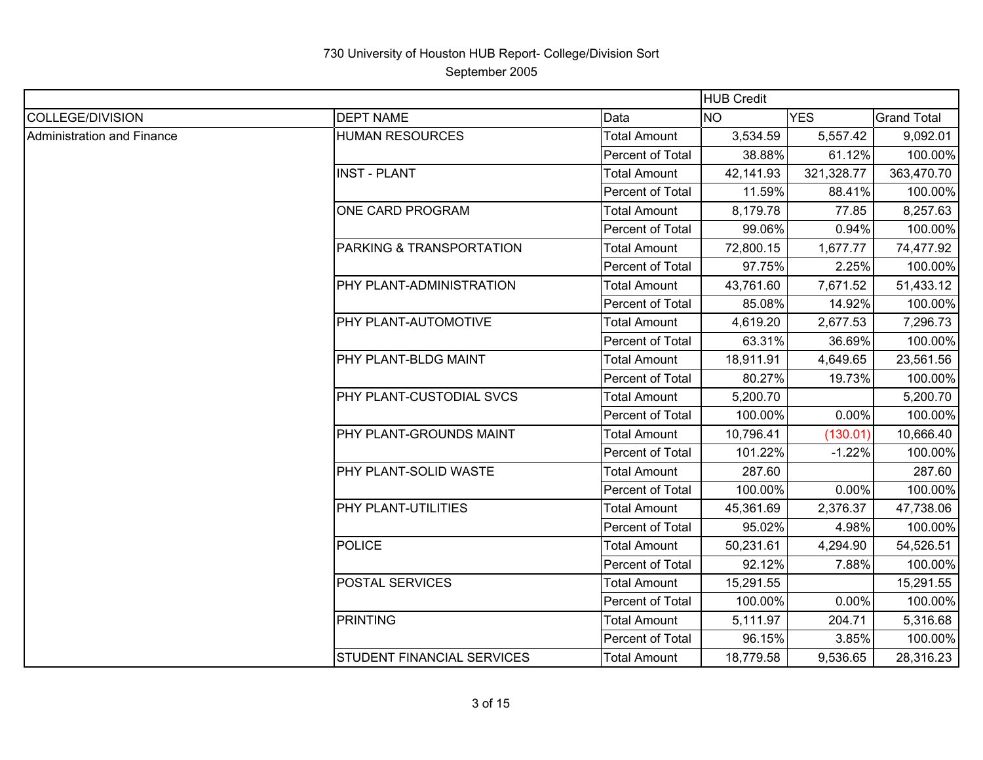|                            |                                   | <b>HUB Credit</b>   |           |            |                    |
|----------------------------|-----------------------------------|---------------------|-----------|------------|--------------------|
| <b>COLLEGE/DIVISION</b>    | <b>DEPT NAME</b>                  | Data                | <b>NO</b> | <b>YES</b> | <b>Grand Total</b> |
| Administration and Finance | <b>HUMAN RESOURCES</b>            | <b>Total Amount</b> | 3,534.59  | 5,557.42   | 9,092.01           |
|                            |                                   | Percent of Total    | 38.88%    | 61.12%     | 100.00%            |
|                            | <b>INST - PLANT</b>               | <b>Total Amount</b> | 42,141.93 | 321,328.77 | 363,470.70         |
|                            |                                   | Percent of Total    | 11.59%    | 88.41%     | 100.00%            |
|                            | ONE CARD PROGRAM                  | <b>Total Amount</b> | 8,179.78  | 77.85      | 8,257.63           |
|                            |                                   | Percent of Total    | 99.06%    | 0.94%      | 100.00%            |
|                            | PARKING & TRANSPORTATION          | <b>Total Amount</b> | 72,800.15 | 1,677.77   | 74,477.92          |
|                            |                                   | Percent of Total    | 97.75%    | 2.25%      | 100.00%            |
|                            | PHY PLANT-ADMINISTRATION          | <b>Total Amount</b> | 43,761.60 | 7,671.52   | 51,433.12          |
|                            |                                   | Percent of Total    | 85.08%    | 14.92%     | 100.00%            |
|                            | PHY PLANT-AUTOMOTIVE              | <b>Total Amount</b> | 4,619.20  | 2,677.53   | 7,296.73           |
|                            |                                   | Percent of Total    | 63.31%    | 36.69%     | 100.00%            |
|                            | PHY PLANT-BLDG MAINT              | <b>Total Amount</b> | 18,911.91 | 4,649.65   | 23,561.56          |
|                            |                                   | Percent of Total    | 80.27%    | 19.73%     | 100.00%            |
|                            | PHY PLANT-CUSTODIAL SVCS          | <b>Total Amount</b> | 5,200.70  |            | 5,200.70           |
|                            |                                   | Percent of Total    | 100.00%   | 0.00%      | 100.00%            |
|                            | PHY PLANT-GROUNDS MAINT           | <b>Total Amount</b> | 10,796.41 | (130.01)   | 10,666.40          |
|                            |                                   | Percent of Total    | 101.22%   | $-1.22%$   | 100.00%            |
|                            | PHY PLANT-SOLID WASTE             | <b>Total Amount</b> | 287.60    |            | 287.60             |
|                            |                                   | Percent of Total    | 100.00%   | 0.00%      | 100.00%            |
|                            | PHY PLANT-UTILITIES               | <b>Total Amount</b> | 45,361.69 | 2,376.37   | 47,738.06          |
|                            |                                   | Percent of Total    | 95.02%    | 4.98%      | 100.00%            |
|                            | <b>POLICE</b>                     | <b>Total Amount</b> | 50,231.61 | 4,294.90   | 54,526.51          |
|                            |                                   | Percent of Total    | 92.12%    | 7.88%      | 100.00%            |
|                            | POSTAL SERVICES                   | <b>Total Amount</b> | 15,291.55 |            | 15,291.55          |
|                            |                                   | Percent of Total    | 100.00%   | 0.00%      | 100.00%            |
|                            | <b>PRINTING</b>                   | <b>Total Amount</b> | 5,111.97  | 204.71     | 5,316.68           |
|                            |                                   | Percent of Total    | 96.15%    | 3.85%      | 100.00%            |
|                            | <b>STUDENT FINANCIAL SERVICES</b> | <b>Total Amount</b> | 18,779.58 | 9,536.65   | 28,316.23          |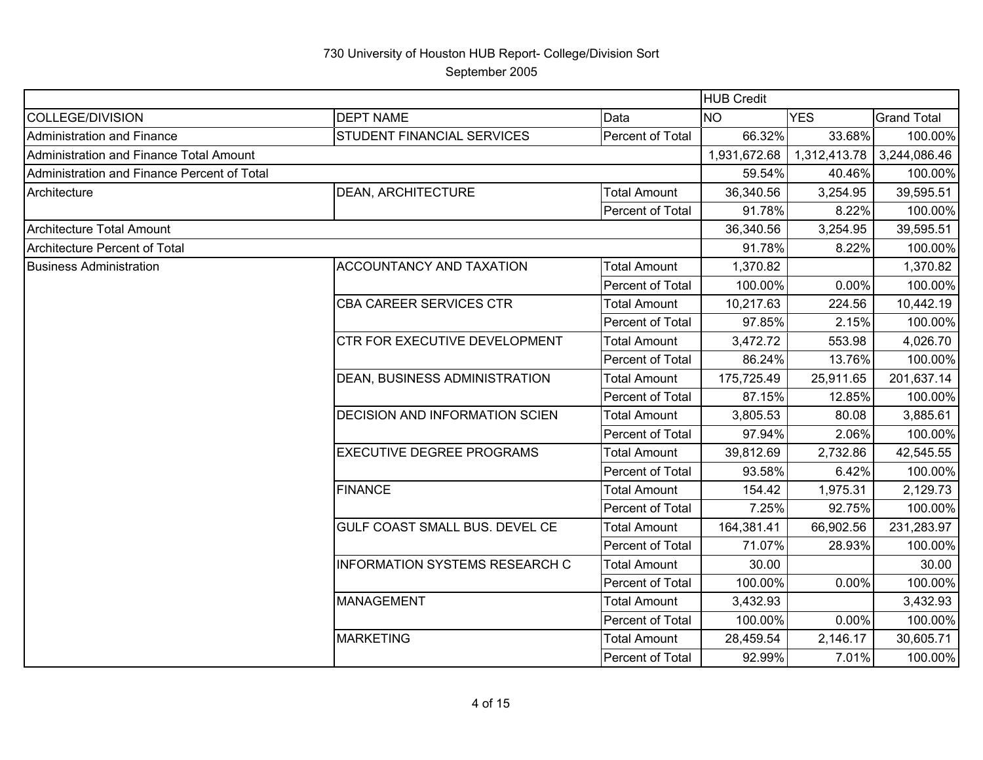|                                             |                                       |                     | <b>HUB Credit</b> |              |                    |
|---------------------------------------------|---------------------------------------|---------------------|-------------------|--------------|--------------------|
| COLLEGE/DIVISION                            | <b>DEPT NAME</b>                      | Data                | <b>NO</b>         | <b>YES</b>   | <b>Grand Total</b> |
| <b>Administration and Finance</b>           | STUDENT FINANCIAL SERVICES            | Percent of Total    | 66.32%            | 33.68%       | 100.00%            |
| Administration and Finance Total Amount     |                                       |                     | 1,931,672.68      | 1,312,413.78 | 3,244,086.46       |
| Administration and Finance Percent of Total |                                       |                     | 59.54%            | 40.46%       | 100.00%            |
| Architecture                                | DEAN, ARCHITECTURE                    | <b>Total Amount</b> | 36,340.56         | 3,254.95     | 39,595.51          |
|                                             | Percent of Total                      |                     | 91.78%            | 8.22%        | 100.00%            |
| Architecture Total Amount                   |                                       |                     | 36,340.56         | 3,254.95     | 39,595.51          |
| Architecture Percent of Total               |                                       |                     | 91.78%            | 8.22%        | 100.00%            |
| <b>Business Administration</b>              | ACCOUNTANCY AND TAXATION              | <b>Total Amount</b> | 1,370.82          |              | 1,370.82           |
|                                             |                                       | Percent of Total    | 100.00%           | 0.00%        | 100.00%            |
|                                             | CBA CAREER SERVICES CTR               | <b>Total Amount</b> | 10,217.63         | 224.56       | 10,442.19          |
|                                             |                                       | Percent of Total    | 97.85%            | 2.15%        | 100.00%            |
|                                             | CTR FOR EXECUTIVE DEVELOPMENT         | <b>Total Amount</b> | 3,472.72          | 553.98       | 4,026.70           |
|                                             |                                       | Percent of Total    | 86.24%            | 13.76%       | 100.00%            |
|                                             | DEAN, BUSINESS ADMINISTRATION         | <b>Total Amount</b> | 175,725.49        | 25,911.65    | 201,637.14         |
|                                             |                                       | Percent of Total    | 87.15%            | 12.85%       | 100.00%            |
|                                             | DECISION AND INFORMATION SCIEN        | <b>Total Amount</b> | 3,805.53          | 80.08        | 3,885.61           |
|                                             |                                       | Percent of Total    | 97.94%            | 2.06%        | 100.00%            |
|                                             | <b>EXECUTIVE DEGREE PROGRAMS</b>      | <b>Total Amount</b> | 39,812.69         | 2,732.86     | 42,545.55          |
|                                             |                                       | Percent of Total    | 93.58%            | 6.42%        | 100.00%            |
|                                             | <b>FINANCE</b>                        | <b>Total Amount</b> | 154.42            | 1,975.31     | 2,129.73           |
|                                             |                                       | Percent of Total    | 7.25%             | 92.75%       | 100.00%            |
|                                             | GULF COAST SMALL BUS. DEVEL CE        | <b>Total Amount</b> | 164,381.41        | 66,902.56    | 231,283.97         |
|                                             |                                       | Percent of Total    | 71.07%            | 28.93%       | 100.00%            |
|                                             | <b>INFORMATION SYSTEMS RESEARCH C</b> | <b>Total Amount</b> | 30.00             |              | 30.00              |
|                                             |                                       | Percent of Total    | 100.00%           | 0.00%        | 100.00%            |
|                                             | <b>MANAGEMENT</b>                     | <b>Total Amount</b> | 3,432.93          |              | 3,432.93           |
|                                             |                                       | Percent of Total    | 100.00%           | 0.00%        | 100.00%            |
|                                             | <b>MARKETING</b>                      | <b>Total Amount</b> | 28,459.54         | 2,146.17     | 30,605.71          |
|                                             |                                       | Percent of Total    | 92.99%            | 7.01%        | 100.00%            |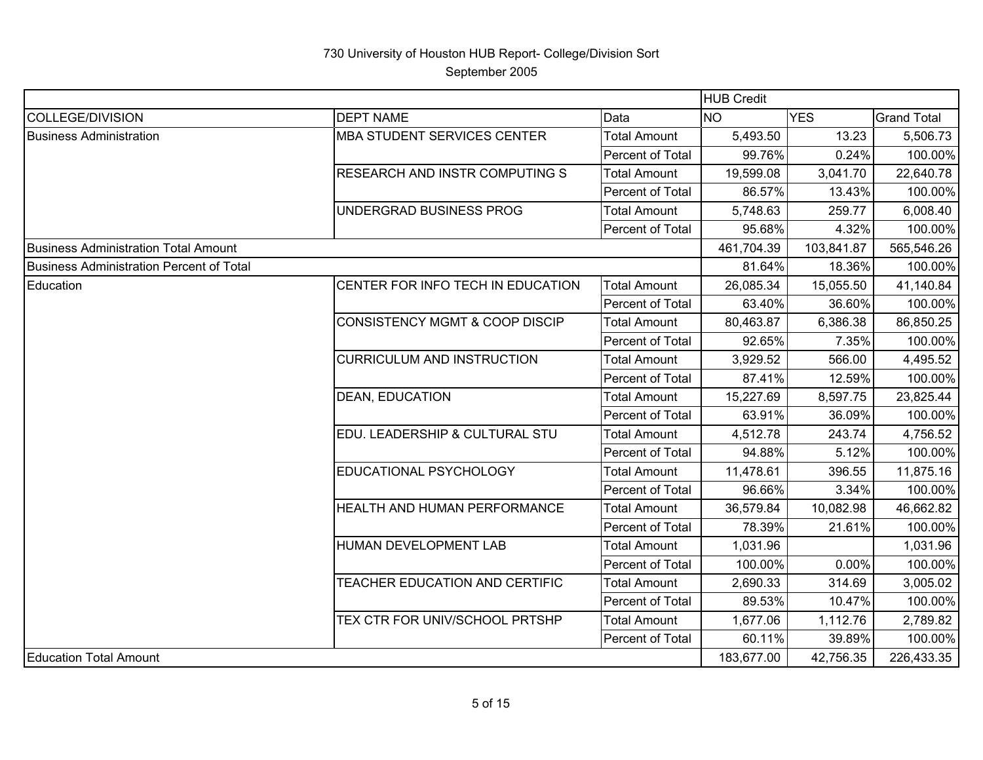|                                             |                                           |                     | <b>HUB Credit</b> |            |                    |
|---------------------------------------------|-------------------------------------------|---------------------|-------------------|------------|--------------------|
| COLLEGE/DIVISION                            | <b>DEPT NAME</b>                          | Data                | <b>NO</b>         | <b>YES</b> | <b>Grand Total</b> |
| Business Administration                     | <b>MBA STUDENT SERVICES CENTER</b>        | <b>Total Amount</b> | 5,493.50          | 13.23      | 5,506.73           |
|                                             |                                           | Percent of Total    | 99.76%            | 0.24%      | 100.00%            |
|                                             | RESEARCH AND INSTR COMPUTING S            | <b>Total Amount</b> | 19,599.08         | 3,041.70   | 22,640.78          |
|                                             |                                           | Percent of Total    | 86.57%            | 13.43%     | 100.00%            |
|                                             | UNDERGRAD BUSINESS PROG                   | <b>Total Amount</b> | 5,748.63          | 259.77     | 6,008.40           |
|                                             |                                           | Percent of Total    | 95.68%            | 4.32%      | 100.00%            |
| <b>Business Administration Total Amount</b> |                                           |                     | 461,704.39        | 103,841.87 | 565,546.26         |
| Business Administration Percent of Total    |                                           |                     | 81.64%            | 18.36%     | 100.00%            |
| Education                                   | CENTER FOR INFO TECH IN EDUCATION         | <b>Total Amount</b> | 26,085.34         | 15,055.50  | 41,140.84          |
|                                             |                                           | Percent of Total    | 63.40%            | 36.60%     | 100.00%            |
|                                             | <b>CONSISTENCY MGMT &amp; COOP DISCIP</b> | <b>Total Amount</b> | 80,463.87         | 6,386.38   | 86,850.25          |
|                                             |                                           | Percent of Total    | 92.65%            | 7.35%      | 100.00%            |
|                                             | <b>CURRICULUM AND INSTRUCTION</b>         | <b>Total Amount</b> | 3,929.52          | 566.00     | 4,495.52           |
|                                             |                                           | Percent of Total    | 87.41%            | 12.59%     | 100.00%            |
|                                             | <b>DEAN, EDUCATION</b>                    | <b>Total Amount</b> | 15,227.69         | 8,597.75   | 23,825.44          |
|                                             |                                           | Percent of Total    | 63.91%            | 36.09%     | 100.00%            |
|                                             | EDU. LEADERSHIP & CULTURAL STU            | <b>Total Amount</b> | 4,512.78          | 243.74     | 4,756.52           |
|                                             |                                           | Percent of Total    | 94.88%            | 5.12%      | 100.00%            |
|                                             | EDUCATIONAL PSYCHOLOGY                    | Total Amount        | 11,478.61         | 396.55     | 11,875.16          |
|                                             |                                           | Percent of Total    | 96.66%            | 3.34%      | 100.00%            |
|                                             | HEALTH AND HUMAN PERFORMANCE              | <b>Total Amount</b> | 36,579.84         | 10,082.98  | 46,662.82          |
|                                             |                                           | Percent of Total    | 78.39%            | 21.61%     | 100.00%            |
|                                             | HUMAN DEVELOPMENT LAB                     | <b>Total Amount</b> | 1,031.96          |            | 1,031.96           |
|                                             |                                           | Percent of Total    | 100.00%           | 0.00%      | 100.00%            |
|                                             | TEACHER EDUCATION AND CERTIFIC            | <b>Total Amount</b> | 2,690.33          | 314.69     | 3,005.02           |
|                                             |                                           | Percent of Total    | 89.53%            | 10.47%     | 100.00%            |
|                                             | TEX CTR FOR UNIV/SCHOOL PRTSHP            | <b>Total Amount</b> | 1,677.06          | 1,112.76   | 2,789.82           |
|                                             |                                           | Percent of Total    | 60.11%            | 39.89%     | 100.00%            |
| <b>Education Total Amount</b>               |                                           |                     | 183,677.00        | 42,756.35  | 226,433.35         |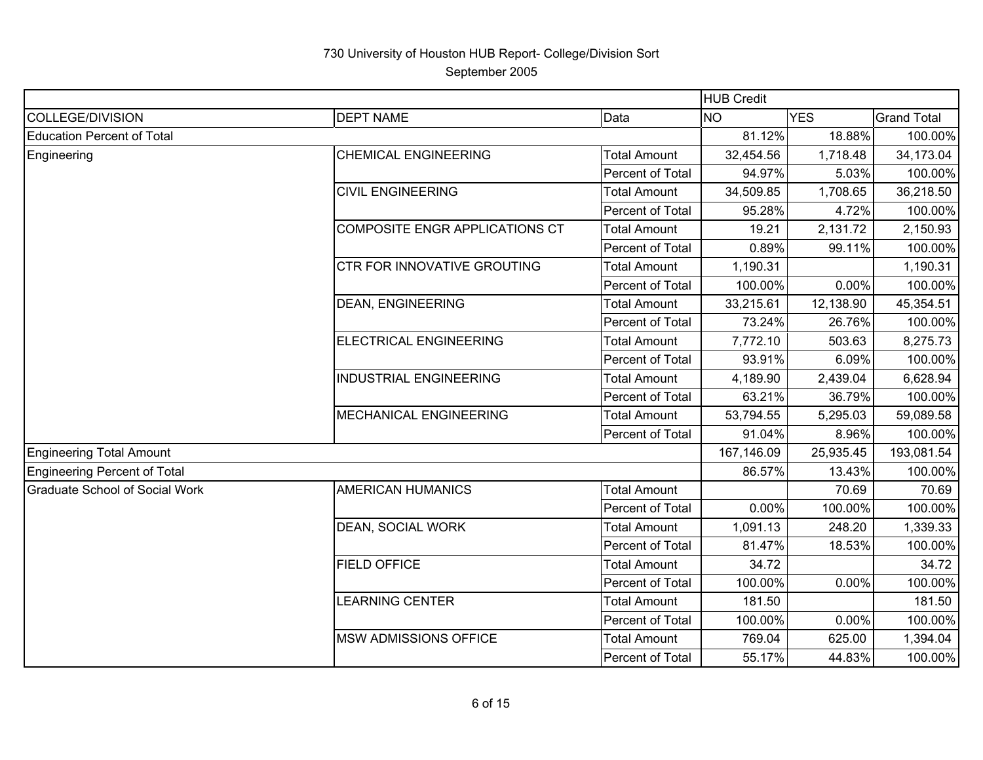September 2005

|                                       |                                       |                     | <b>HUB Credit</b> |            |                    |
|---------------------------------------|---------------------------------------|---------------------|-------------------|------------|--------------------|
| <b>COLLEGE/DIVISION</b>               | <b>DEPT NAME</b>                      | Data                | <b>NO</b>         | <b>YES</b> | <b>Grand Total</b> |
| <b>Education Percent of Total</b>     |                                       | 81.12%              | 18.88%            | 100.00%    |                    |
| Engineering                           | <b>CHEMICAL ENGINEERING</b>           | <b>Total Amount</b> | 32,454.56         | 1,718.48   | 34,173.04          |
|                                       |                                       | Percent of Total    | 94.97%            | 5.03%      | 100.00%            |
|                                       | <b>CIVIL ENGINEERING</b>              | <b>Total Amount</b> | 34,509.85         | 1,708.65   | 36,218.50          |
|                                       |                                       | Percent of Total    | 95.28%            | 4.72%      | 100.00%            |
|                                       | <b>COMPOSITE ENGR APPLICATIONS CT</b> | <b>Total Amount</b> | 19.21             | 2,131.72   | 2,150.93           |
|                                       |                                       | Percent of Total    | 0.89%             | 99.11%     | 100.00%            |
|                                       | <b>CTR FOR INNOVATIVE GROUTING</b>    | <b>Total Amount</b> | 1,190.31          |            | 1,190.31           |
|                                       |                                       | Percent of Total    | 100.00%           | 0.00%      | 100.00%            |
|                                       | <b>DEAN, ENGINEERING</b>              | <b>Total Amount</b> | 33,215.61         | 12,138.90  | 45,354.51          |
|                                       |                                       | Percent of Total    | 73.24%            | 26.76%     | 100.00%            |
|                                       | <b>ELECTRICAL ENGINEERING</b>         | <b>Total Amount</b> | 7,772.10          | 503.63     | 8,275.73           |
|                                       |                                       | Percent of Total    | 93.91%            | 6.09%      | 100.00%            |
|                                       | <b>INDUSTRIAL ENGINEERING</b>         | <b>Total Amount</b> | 4,189.90          | 2,439.04   | 6,628.94           |
|                                       |                                       | Percent of Total    | 63.21%            | 36.79%     | 100.00%            |
|                                       | <b>MECHANICAL ENGINEERING</b>         | <b>Total Amount</b> | 53,794.55         | 5,295.03   | 59,089.58          |
|                                       |                                       | Percent of Total    | 91.04%            | 8.96%      | 100.00%            |
| <b>Engineering Total Amount</b>       |                                       |                     | 167,146.09        | 25,935.45  | 193,081.54         |
| <b>Engineering Percent of Total</b>   |                                       |                     | 86.57%            | 13.43%     | 100.00%            |
| <b>Graduate School of Social Work</b> | <b>AMERICAN HUMANICS</b>              | <b>Total Amount</b> |                   | 70.69      | 70.69              |
|                                       |                                       | Percent of Total    | 0.00%             | 100.00%    | 100.00%            |
|                                       | <b>DEAN, SOCIAL WORK</b>              | <b>Total Amount</b> | 1,091.13          | 248.20     | 1,339.33           |
|                                       |                                       | Percent of Total    | 81.47%            | 18.53%     | 100.00%            |
|                                       | <b>FIELD OFFICE</b>                   | <b>Total Amount</b> | 34.72             |            | 34.72              |
|                                       |                                       | Percent of Total    | 100.00%           | 0.00%      | 100.00%            |
|                                       | <b>LEARNING CENTER</b>                | <b>Total Amount</b> | 181.50            |            | 181.50             |
|                                       |                                       | Percent of Total    | 100.00%           | 0.00%      | 100.00%            |
|                                       | <b>MSW ADMISSIONS OFFICE</b>          | <b>Total Amount</b> | 769.04            | 625.00     | 1,394.04           |
|                                       |                                       | Percent of Total    | 55.17%            | 44.83%     | 100.00%            |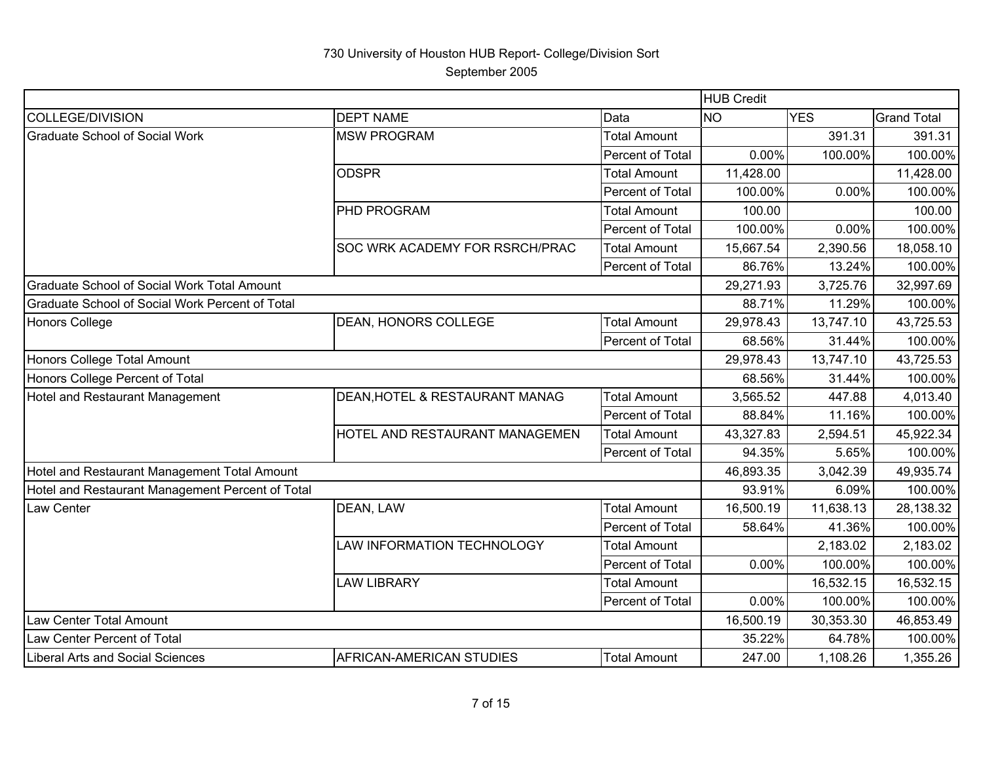|                                                  |                                |                     | <b>HUB Credit</b> |            |                    |
|--------------------------------------------------|--------------------------------|---------------------|-------------------|------------|--------------------|
| <b>COLLEGE/DIVISION</b>                          | <b>DEPT NAME</b>               | Data                | <b>NO</b>         | <b>YES</b> | <b>Grand Total</b> |
| <b>Graduate School of Social Work</b>            | <b>MSW PROGRAM</b>             | <b>Total Amount</b> |                   | 391.31     | 391.31             |
|                                                  |                                | Percent of Total    | 0.00%             | 100.00%    | 100.00%            |
|                                                  | <b>ODSPR</b>                   | <b>Total Amount</b> | 11,428.00         |            | 11,428.00          |
|                                                  |                                | Percent of Total    | 100.00%           | 0.00%      | 100.00%            |
|                                                  | PHD PROGRAM                    | <b>Total Amount</b> | 100.00            |            | 100.00             |
|                                                  |                                | Percent of Total    | 100.00%           | 0.00%      | 100.00%            |
|                                                  | SOC WRK ACADEMY FOR RSRCH/PRAC | <b>Total Amount</b> | 15,667.54         | 2,390.56   | 18,058.10          |
|                                                  |                                | Percent of Total    | 86.76%            | 13.24%     | 100.00%            |
| Graduate School of Social Work Total Amount      |                                |                     | 29,271.93         | 3,725.76   | 32,997.69          |
| Graduate School of Social Work Percent of Total  |                                |                     | 88.71%            | 11.29%     | 100.00%            |
| Honors College                                   | DEAN, HONORS COLLEGE           | <b>Total Amount</b> | 29,978.43         | 13,747.10  | 43,725.53          |
|                                                  |                                | Percent of Total    | 68.56%            | 31.44%     | 100.00%            |
| Honors College Total Amount                      |                                |                     | 29,978.43         | 13,747.10  | 43,725.53          |
| Honors College Percent of Total                  |                                |                     | 68.56%            | 31.44%     | 100.00%            |
| Hotel and Restaurant Management                  | DEAN, HOTEL & RESTAURANT MANAG | <b>Total Amount</b> | 3,565.52          | 447.88     | 4,013.40           |
|                                                  |                                | Percent of Total    | 88.84%            | 11.16%     | 100.00%            |
|                                                  | HOTEL AND RESTAURANT MANAGEMEN | <b>Total Amount</b> | 43,327.83         | 2,594.51   | 45,922.34          |
|                                                  |                                | Percent of Total    | 94.35%            | 5.65%      | 100.00%            |
| Hotel and Restaurant Management Total Amount     |                                |                     | 46,893.35         | 3,042.39   | 49,935.74          |
| Hotel and Restaurant Management Percent of Total |                                |                     | 93.91%            | 6.09%      | 100.00%            |
| Law Center                                       | DEAN, LAW                      | <b>Total Amount</b> | 16,500.19         | 11,638.13  | 28,138.32          |
|                                                  |                                | Percent of Total    | 58.64%            | 41.36%     | 100.00%            |
|                                                  | LAW INFORMATION TECHNOLOGY     | <b>Total Amount</b> |                   | 2,183.02   | 2,183.02           |
|                                                  |                                | Percent of Total    | 0.00%             | 100.00%    | 100.00%            |
|                                                  | <b>LAW LIBRARY</b>             | <b>Total Amount</b> |                   | 16,532.15  | 16,532.15          |
|                                                  |                                | Percent of Total    | 0.00%             | 100.00%    | 100.00%            |
| Law Center Total Amount                          |                                |                     | 16,500.19         | 30,353.30  | 46,853.49          |
| Law Center Percent of Total                      |                                |                     | 35.22%            | 64.78%     | 100.00%            |
| Liberal Arts and Social Sciences                 | AFRICAN-AMERICAN STUDIES       | <b>Total Amount</b> | 247.00            | 1,108.26   | 1,355.26           |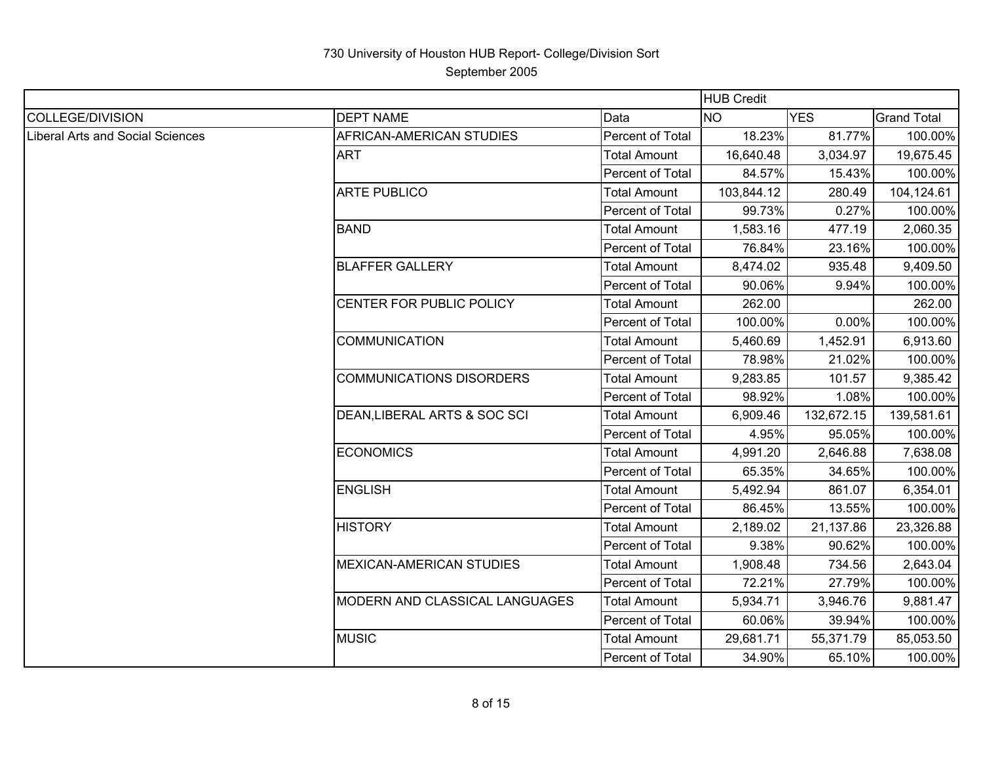|                                  | <b>HUB Credit</b>               |                     |            |            |                    |
|----------------------------------|---------------------------------|---------------------|------------|------------|--------------------|
| COLLEGE/DIVISION                 | <b>DEPT NAME</b>                | Data                | <b>NO</b>  | <b>YES</b> | <b>Grand Total</b> |
| Liberal Arts and Social Sciences | AFRICAN-AMERICAN STUDIES        | Percent of Total    | 18.23%     | 81.77%     | 100.00%            |
|                                  | <b>ART</b>                      | <b>Total Amount</b> | 16,640.48  | 3,034.97   | 19,675.45          |
|                                  |                                 | Percent of Total    | 84.57%     | 15.43%     | 100.00%            |
|                                  | <b>ARTE PUBLICO</b>             | <b>Total Amount</b> | 103,844.12 | 280.49     | 104,124.61         |
|                                  |                                 | Percent of Total    | 99.73%     | 0.27%      | 100.00%            |
|                                  | <b>BAND</b>                     | <b>Total Amount</b> | 1,583.16   | 477.19     | 2,060.35           |
|                                  |                                 | Percent of Total    | 76.84%     | 23.16%     | 100.00%            |
|                                  | <b>BLAFFER GALLERY</b>          | <b>Total Amount</b> | 8,474.02   | 935.48     | 9,409.50           |
|                                  |                                 | Percent of Total    | 90.06%     | 9.94%      | 100.00%            |
|                                  | CENTER FOR PUBLIC POLICY        | <b>Total Amount</b> | 262.00     |            | 262.00             |
|                                  |                                 | Percent of Total    | 100.00%    | 0.00%      | 100.00%            |
|                                  | <b>COMMUNICATION</b>            | <b>Total Amount</b> | 5,460.69   | 1,452.91   | 6,913.60           |
|                                  |                                 | Percent of Total    | 78.98%     | 21.02%     | 100.00%            |
|                                  | <b>COMMUNICATIONS DISORDERS</b> | <b>Total Amount</b> | 9,283.85   | 101.57     | 9,385.42           |
|                                  |                                 | Percent of Total    | 98.92%     | 1.08%      | 100.00%            |
|                                  | DEAN, LIBERAL ARTS & SOC SCI    | <b>Total Amount</b> | 6,909.46   | 132,672.15 | 139,581.61         |
|                                  |                                 | Percent of Total    | 4.95%      | 95.05%     | 100.00%            |
|                                  | <b>ECONOMICS</b>                | <b>Total Amount</b> | 4,991.20   | 2,646.88   | 7,638.08           |
|                                  |                                 | Percent of Total    | 65.35%     | 34.65%     | 100.00%            |
|                                  | <b>ENGLISH</b>                  | <b>Total Amount</b> | 5,492.94   | 861.07     | 6,354.01           |
|                                  |                                 | Percent of Total    | 86.45%     | 13.55%     | 100.00%            |
|                                  | <b>HISTORY</b>                  | <b>Total Amount</b> | 2,189.02   | 21,137.86  | 23,326.88          |
|                                  |                                 | Percent of Total    | 9.38%      | 90.62%     | 100.00%            |
|                                  | <b>MEXICAN-AMERICAN STUDIES</b> | <b>Total Amount</b> | 1,908.48   | 734.56     | 2,643.04           |
|                                  |                                 | Percent of Total    | 72.21%     | 27.79%     | 100.00%            |
|                                  | MODERN AND CLASSICAL LANGUAGES  | <b>Total Amount</b> | 5,934.71   | 3,946.76   | 9,881.47           |
|                                  |                                 | Percent of Total    | 60.06%     | 39.94%     | 100.00%            |
|                                  | <b>MUSIC</b>                    | <b>Total Amount</b> | 29,681.71  | 55,371.79  | 85,053.50          |
|                                  |                                 | Percent of Total    | 34.90%     | 65.10%     | 100.00%            |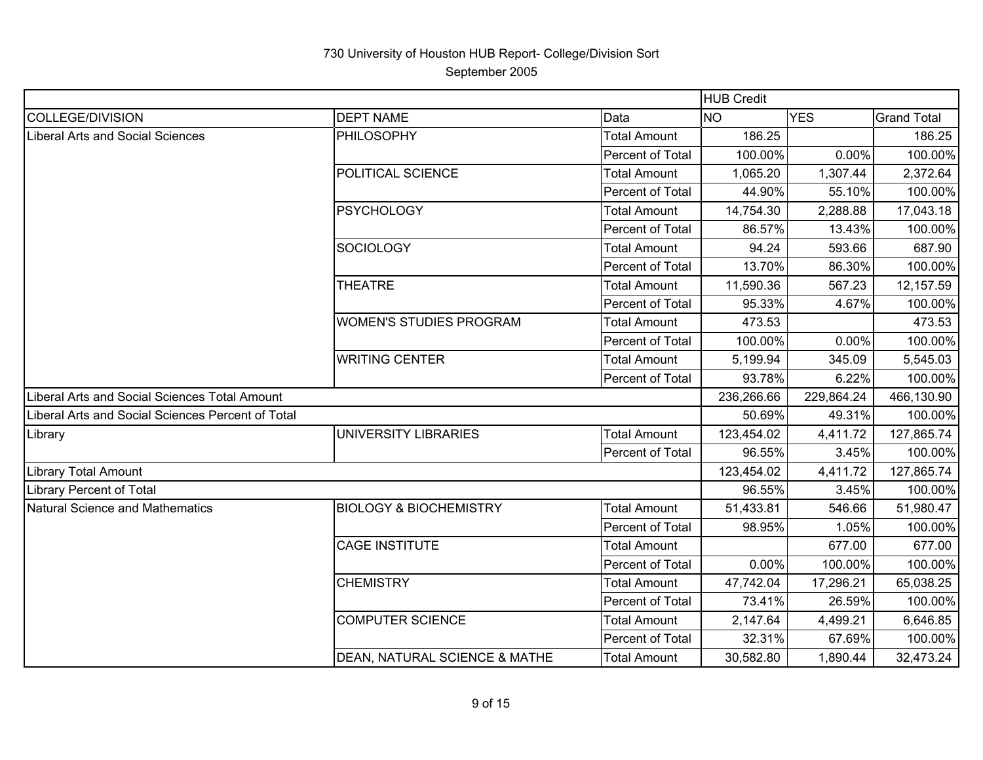|                                                   |                                   |                     | <b>HUB Credit</b> |            |                    |
|---------------------------------------------------|-----------------------------------|---------------------|-------------------|------------|--------------------|
| <b>COLLEGE/DIVISION</b>                           | <b>DEPT NAME</b>                  | Data                | <b>NO</b>         | <b>YES</b> | <b>Grand Total</b> |
| <b>Liberal Arts and Social Sciences</b>           | <b>PHILOSOPHY</b>                 | <b>Total Amount</b> | 186.25            |            | 186.25             |
|                                                   |                                   | Percent of Total    | 100.00%           | 0.00%      | 100.00%            |
|                                                   | POLITICAL SCIENCE                 | <b>Total Amount</b> | 1,065.20          | 1,307.44   | 2,372.64           |
|                                                   |                                   | Percent of Total    | 44.90%            | 55.10%     | 100.00%            |
|                                                   | <b>PSYCHOLOGY</b>                 | <b>Total Amount</b> | 14,754.30         | 2,288.88   | 17,043.18          |
|                                                   |                                   | Percent of Total    | 86.57%            | 13.43%     | 100.00%            |
|                                                   | <b>SOCIOLOGY</b>                  | <b>Total Amount</b> | 94.24             | 593.66     | 687.90             |
|                                                   |                                   | Percent of Total    | 13.70%            | 86.30%     | 100.00%            |
|                                                   | <b>THEATRE</b>                    | <b>Total Amount</b> | 11,590.36         | 567.23     | 12,157.59          |
|                                                   |                                   | Percent of Total    | 95.33%            | 4.67%      | 100.00%            |
|                                                   | <b>WOMEN'S STUDIES PROGRAM</b>    | <b>Total Amount</b> | 473.53            |            | 473.53             |
|                                                   |                                   | Percent of Total    | 100.00%           | 0.00%      | 100.00%            |
|                                                   | <b>WRITING CENTER</b>             | <b>Total Amount</b> | 5,199.94          | 345.09     | 5,545.03           |
|                                                   |                                   | Percent of Total    | 93.78%            | 6.22%      | 100.00%            |
| Liberal Arts and Social Sciences Total Amount     |                                   |                     | 236,266.66        | 229,864.24 | 466,130.90         |
| Liberal Arts and Social Sciences Percent of Total |                                   |                     | 50.69%            | 49.31%     | 100.00%            |
| Library                                           | <b>UNIVERSITY LIBRARIES</b>       | <b>Total Amount</b> | 123,454.02        | 4,411.72   | 127,865.74         |
|                                                   |                                   | Percent of Total    | 96.55%            | 3.45%      | 100.00%            |
| <b>Library Total Amount</b>                       |                                   |                     | 123,454.02        | 4,411.72   | 127,865.74         |
| <b>Library Percent of Total</b>                   |                                   |                     | 96.55%            | 3.45%      | 100.00%            |
| Natural Science and Mathematics                   | <b>BIOLOGY &amp; BIOCHEMISTRY</b> | <b>Total Amount</b> | 51,433.81         | 546.66     | 51,980.47          |
|                                                   |                                   | Percent of Total    | 98.95%            | 1.05%      | 100.00%            |
|                                                   | <b>CAGE INSTITUTE</b>             | <b>Total Amount</b> |                   | 677.00     | 677.00             |
|                                                   |                                   | Percent of Total    | 0.00%             | 100.00%    | 100.00%            |
|                                                   | <b>CHEMISTRY</b>                  | <b>Total Amount</b> | 47,742.04         | 17,296.21  | 65,038.25          |
|                                                   |                                   | Percent of Total    | 73.41%            | 26.59%     | 100.00%            |
|                                                   | <b>COMPUTER SCIENCE</b>           | <b>Total Amount</b> | 2,147.64          | 4,499.21   | 6,646.85           |
|                                                   |                                   | Percent of Total    | 32.31%            | 67.69%     | 100.00%            |
|                                                   | DEAN, NATURAL SCIENCE & MATHE     | <b>Total Amount</b> | 30,582.80         | 1,890.44   | 32,473.24          |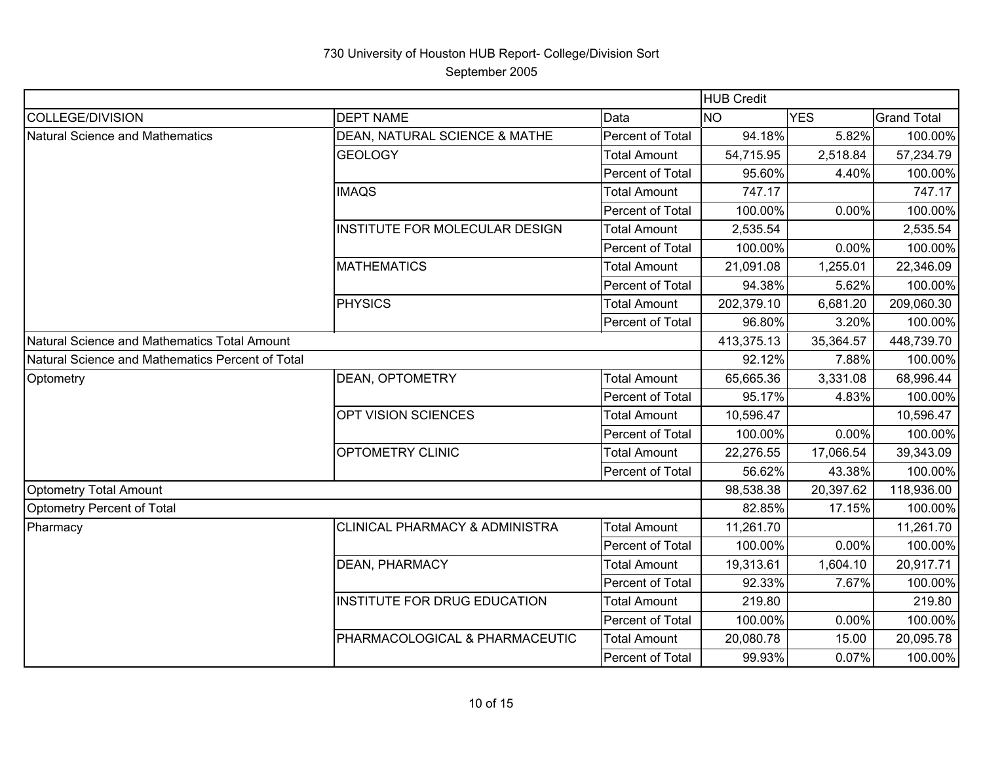|                                                  |                                           |                     | <b>HUB Credit</b> |            |                    |
|--------------------------------------------------|-------------------------------------------|---------------------|-------------------|------------|--------------------|
| COLLEGE/DIVISION                                 | <b>DEPT NAME</b>                          | Data                | <b>NO</b>         | <b>YES</b> | <b>Grand Total</b> |
| Natural Science and Mathematics                  | DEAN, NATURAL SCIENCE & MATHE             | Percent of Total    | 94.18%            | 5.82%      | 100.00%            |
|                                                  | <b>GEOLOGY</b>                            | <b>Total Amount</b> | 54,715.95         | 2,518.84   | 57,234.79          |
|                                                  |                                           | Percent of Total    | 95.60%            | 4.40%      | 100.00%            |
|                                                  | <b>IMAQS</b>                              | <b>Total Amount</b> | 747.17            |            | 747.17             |
|                                                  |                                           | Percent of Total    | 100.00%           | 0.00%      | 100.00%            |
|                                                  | INSTITUTE FOR MOLECULAR DESIGN            | <b>Total Amount</b> | 2,535.54          |            | 2,535.54           |
|                                                  |                                           | Percent of Total    | 100.00%           | 0.00%      | 100.00%            |
|                                                  | <b>MATHEMATICS</b>                        | <b>Total Amount</b> | 21,091.08         | 1,255.01   | 22,346.09          |
|                                                  |                                           | Percent of Total    | 94.38%            | 5.62%      | 100.00%            |
|                                                  | <b>PHYSICS</b>                            | <b>Total Amount</b> | 202,379.10        | 6,681.20   | 209,060.30         |
|                                                  |                                           | Percent of Total    | 96.80%            | 3.20%      | 100.00%            |
| Natural Science and Mathematics Total Amount     |                                           |                     | 413,375.13        | 35,364.57  | 448,739.70         |
| Natural Science and Mathematics Percent of Total |                                           |                     | 92.12%            | 7.88%      | 100.00%            |
| Optometry                                        | <b>DEAN, OPTOMETRY</b>                    | <b>Total Amount</b> | 65,665.36         | 3,331.08   | 68,996.44          |
|                                                  |                                           | Percent of Total    | 95.17%            | 4.83%      | 100.00%            |
|                                                  | OPT VISION SCIENCES                       | <b>Total Amount</b> | 10,596.47         |            | 10,596.47          |
|                                                  |                                           | Percent of Total    | 100.00%           | 0.00%      | 100.00%            |
|                                                  | <b>OPTOMETRY CLINIC</b>                   | <b>Total Amount</b> | 22,276.55         | 17,066.54  | 39,343.09          |
|                                                  |                                           | Percent of Total    | 56.62%            | 43.38%     | 100.00%            |
| <b>Optometry Total Amount</b>                    |                                           |                     | 98,538.38         | 20,397.62  | 118,936.00         |
| Optometry Percent of Total                       |                                           |                     | 82.85%            | 17.15%     | 100.00%            |
| Pharmacy                                         | <b>CLINICAL PHARMACY &amp; ADMINISTRA</b> | <b>Total Amount</b> | 11,261.70         |            | 11,261.70          |
|                                                  |                                           | Percent of Total    | 100.00%           | 0.00%      | 100.00%            |
|                                                  | DEAN, PHARMACY                            | <b>Total Amount</b> | 19,313.61         | 1,604.10   | 20,917.71          |
|                                                  |                                           | Percent of Total    | 92.33%            | 7.67%      | 100.00%            |
|                                                  | <b>INSTITUTE FOR DRUG EDUCATION</b>       | <b>Total Amount</b> | 219.80            |            | 219.80             |
|                                                  |                                           | Percent of Total    | 100.00%           | 0.00%      | 100.00%            |
|                                                  | PHARMACOLOGICAL & PHARMACEUTIC            | <b>Total Amount</b> | 20,080.78         | 15.00      | 20,095.78          |
|                                                  |                                           | Percent of Total    | 99.93%            | 0.07%      | 100.00%            |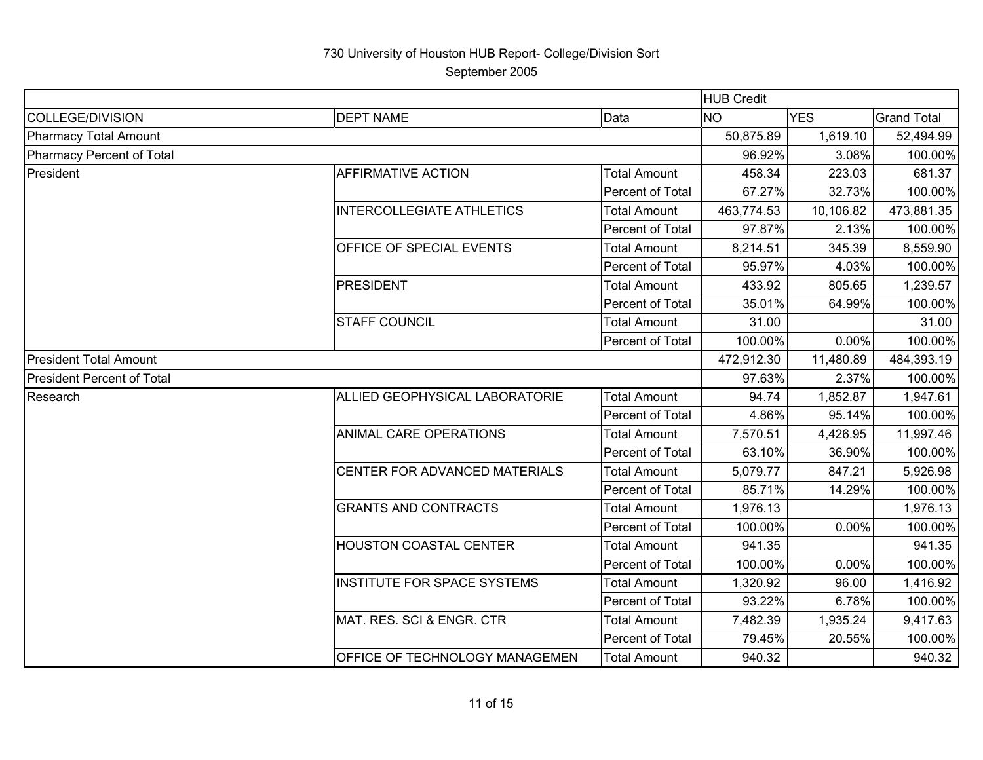September 2005

|                                   |                                    |                     | <b>HUB Credit</b> |            |                    |
|-----------------------------------|------------------------------------|---------------------|-------------------|------------|--------------------|
| <b>COLLEGE/DIVISION</b>           | <b>DEPT NAME</b>                   | Data                | <b>NO</b>         | <b>YES</b> | <b>Grand Total</b> |
| <b>Pharmacy Total Amount</b>      |                                    |                     | 50,875.89         | 1,619.10   | 52,494.99          |
| <b>Pharmacy Percent of Total</b>  |                                    |                     | 96.92%            | 3.08%      | 100.00%            |
| President                         | AFFIRMATIVE ACTION                 | <b>Total Amount</b> | 458.34            | 223.03     | 681.37             |
|                                   |                                    | Percent of Total    | 67.27%            | 32.73%     | 100.00%            |
|                                   | <b>INTERCOLLEGIATE ATHLETICS</b>   | <b>Total Amount</b> | 463,774.53        | 10,106.82  | 473,881.35         |
|                                   |                                    | Percent of Total    | 97.87%            | 2.13%      | 100.00%            |
|                                   | OFFICE OF SPECIAL EVENTS           | <b>Total Amount</b> | 8,214.51          | 345.39     | 8,559.90           |
|                                   |                                    | Percent of Total    | 95.97%            | 4.03%      | 100.00%            |
|                                   | <b>PRESIDENT</b>                   | <b>Total Amount</b> | 433.92            | 805.65     | 1,239.57           |
|                                   |                                    | Percent of Total    | 35.01%            | 64.99%     | 100.00%            |
|                                   | <b>STAFF COUNCIL</b>               | <b>Total Amount</b> | 31.00             |            | 31.00              |
|                                   |                                    | Percent of Total    | 100.00%           | 0.00%      | 100.00%            |
| <b>President Total Amount</b>     |                                    |                     | 472,912.30        | 11,480.89  | 484,393.19         |
| <b>President Percent of Total</b> |                                    |                     | 97.63%            | 2.37%      | 100.00%            |
| Research                          | ALLIED GEOPHYSICAL LABORATORIE     | <b>Total Amount</b> | 94.74             | 1,852.87   | 1,947.61           |
|                                   |                                    | Percent of Total    | 4.86%             | 95.14%     | 100.00%            |
|                                   | <b>ANIMAL CARE OPERATIONS</b>      | <b>Total Amount</b> | 7,570.51          | 4,426.95   | 11,997.46          |
|                                   |                                    | Percent of Total    | 63.10%            | 36.90%     | 100.00%            |
|                                   | CENTER FOR ADVANCED MATERIALS      | Total Amount        | 5,079.77          | 847.21     | 5,926.98           |
|                                   |                                    | Percent of Total    | 85.71%            | 14.29%     | 100.00%            |
|                                   | <b>GRANTS AND CONTRACTS</b>        | <b>Total Amount</b> | 1,976.13          |            | 1,976.13           |
|                                   |                                    | Percent of Total    | 100.00%           | 0.00%      | 100.00%            |
|                                   | HOUSTON COASTAL CENTER             | <b>Total Amount</b> | 941.35            |            | 941.35             |
|                                   |                                    | Percent of Total    | 100.00%           | 0.00%      | 100.00%            |
|                                   | <b>INSTITUTE FOR SPACE SYSTEMS</b> | <b>Total Amount</b> | 1,320.92          | 96.00      | 1,416.92           |
|                                   |                                    | Percent of Total    | 93.22%            | 6.78%      | 100.00%            |
|                                   | MAT. RES. SCI & ENGR. CTR          | <b>Total Amount</b> | 7,482.39          | 1,935.24   | 9,417.63           |
|                                   |                                    | Percent of Total    | 79.45%            | 20.55%     | 100.00%            |
|                                   | OFFICE OF TECHNOLOGY MANAGEMEN     | <b>Total Amount</b> | 940.32            |            | 940.32             |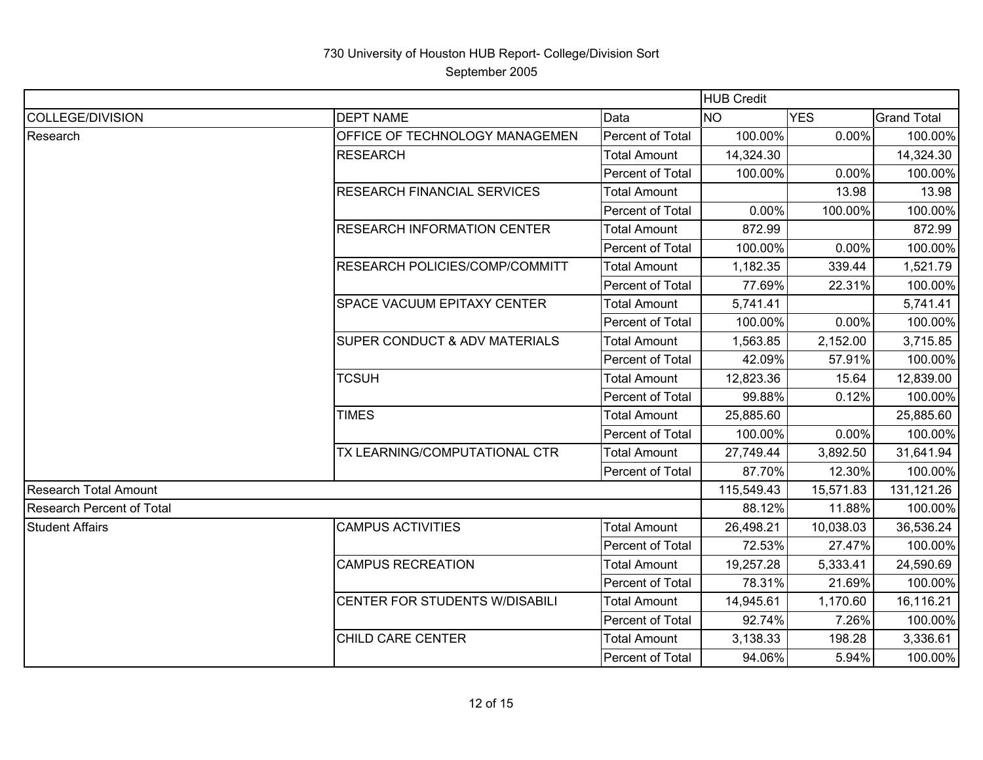|                                  |                                    |                     | <b>HUB Credit</b> |            |                    |
|----------------------------------|------------------------------------|---------------------|-------------------|------------|--------------------|
| COLLEGE/DIVISION                 | <b>DEPT NAME</b>                   | Data                | <b>NO</b>         | <b>YES</b> | <b>Grand Total</b> |
| Research                         | OFFICE OF TECHNOLOGY MANAGEMEN     | Percent of Total    | 100.00%           | 0.00%      | 100.00%            |
|                                  | <b>RESEARCH</b>                    | <b>Total Amount</b> | 14,324.30         |            | 14,324.30          |
|                                  |                                    | Percent of Total    | 100.00%           | 0.00%      | 100.00%            |
|                                  | <b>RESEARCH FINANCIAL SERVICES</b> | <b>Total Amount</b> |                   | 13.98      | 13.98              |
|                                  |                                    | Percent of Total    | 0.00%             | 100.00%    | 100.00%            |
|                                  | <b>RESEARCH INFORMATION CENTER</b> | <b>Total Amount</b> | 872.99            |            | 872.99             |
|                                  |                                    | Percent of Total    | 100.00%           | 0.00%      | 100.00%            |
|                                  | RESEARCH POLICIES/COMP/COMMITT     | <b>Total Amount</b> | 1,182.35          | 339.44     | 1,521.79           |
|                                  |                                    | Percent of Total    | 77.69%            | 22.31%     | 100.00%            |
|                                  | SPACE VACUUM EPITAXY CENTER        | <b>Total Amount</b> | 5,741.41          |            | 5,741.41           |
|                                  |                                    | Percent of Total    | 100.00%           | 0.00%      | 100.00%            |
|                                  | SUPER CONDUCT & ADV MATERIALS      | <b>Total Amount</b> | 1,563.85          | 2,152.00   | 3,715.85           |
|                                  |                                    | Percent of Total    | 42.09%            | 57.91%     | 100.00%            |
|                                  | <b>TCSUH</b>                       | <b>Total Amount</b> | 12,823.36         | 15.64      | 12,839.00          |
|                                  |                                    | Percent of Total    | 99.88%            | 0.12%      | 100.00%            |
|                                  | <b>TIMES</b>                       | <b>Total Amount</b> | 25,885.60         |            | 25,885.60          |
|                                  |                                    | Percent of Total    | 100.00%           | 0.00%      | 100.00%            |
|                                  | TX LEARNING/COMPUTATIONAL CTR      | <b>Total Amount</b> | 27,749.44         | 3,892.50   | 31,641.94          |
|                                  |                                    | Percent of Total    | 87.70%            | 12.30%     | 100.00%            |
| Research Total Amount            |                                    |                     | 115,549.43        | 15,571.83  | 131,121.26         |
| <b>Research Percent of Total</b> |                                    |                     | 88.12%            | 11.88%     | 100.00%            |
| <b>Student Affairs</b>           | <b>CAMPUS ACTIVITIES</b>           | <b>Total Amount</b> | 26,498.21         | 10,038.03  | 36,536.24          |
|                                  |                                    | Percent of Total    | 72.53%            | 27.47%     | 100.00%            |
|                                  | <b>CAMPUS RECREATION</b>           | <b>Total Amount</b> | 19,257.28         | 5,333.41   | 24,590.69          |
|                                  |                                    | Percent of Total    | 78.31%            | 21.69%     | 100.00%            |
|                                  | CENTER FOR STUDENTS W/DISABILI     | <b>Total Amount</b> | 14,945.61         | 1,170.60   | 16,116.21          |
|                                  |                                    | Percent of Total    | 92.74%            | 7.26%      | 100.00%            |
|                                  | CHILD CARE CENTER                  | <b>Total Amount</b> | 3,138.33          | 198.28     | 3,336.61           |
|                                  |                                    | Percent of Total    | 94.06%            | 5.94%      | 100.00%            |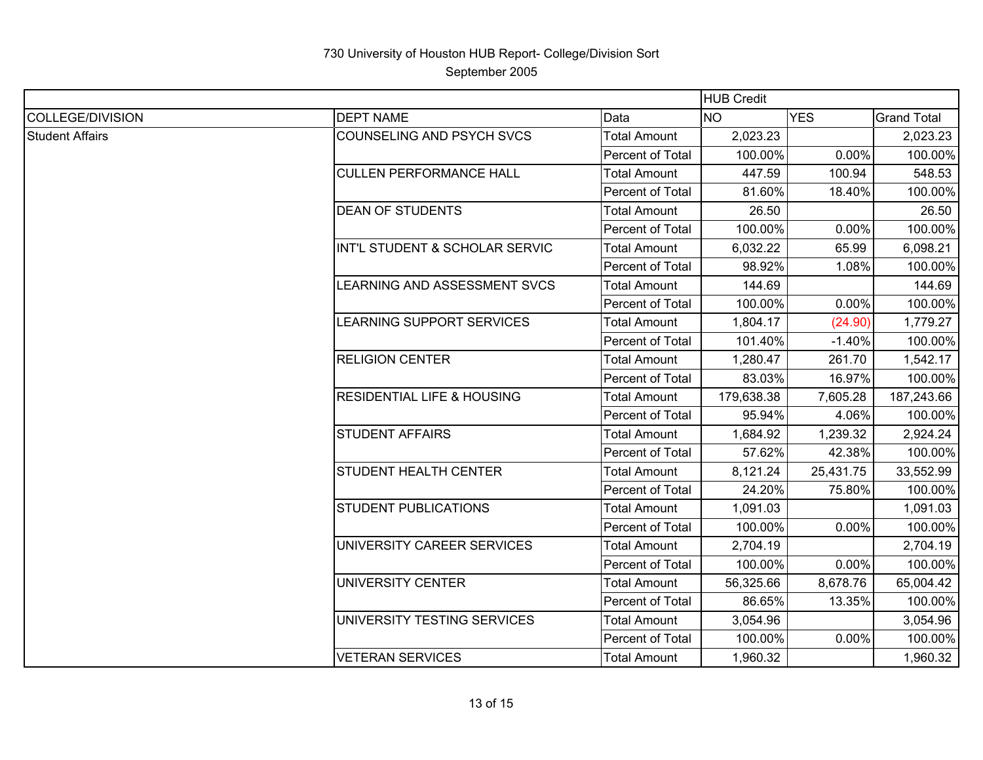|                        |                                       |                     | <b>HUB Credit</b> |            |                    |
|------------------------|---------------------------------------|---------------------|-------------------|------------|--------------------|
| COLLEGE/DIVISION       | <b>DEPT NAME</b>                      | Data                | <b>NO</b>         | <b>YES</b> | <b>Grand Total</b> |
| <b>Student Affairs</b> | COUNSELING AND PSYCH SVCS             | <b>Total Amount</b> | 2,023.23          |            | 2,023.23           |
|                        |                                       | Percent of Total    | 100.00%           | 0.00%      | 100.00%            |
|                        | <b>CULLEN PERFORMANCE HALL</b>        | <b>Total Amount</b> | 447.59            | 100.94     | 548.53             |
|                        |                                       | Percent of Total    | 81.60%            | 18.40%     | 100.00%            |
|                        | <b>DEAN OF STUDENTS</b>               | <b>Total Amount</b> | 26.50             |            | 26.50              |
|                        |                                       | Percent of Total    | 100.00%           | 0.00%      | 100.00%            |
|                        | INT'L STUDENT & SCHOLAR SERVIC        | <b>Total Amount</b> | 6,032.22          | 65.99      | 6,098.21           |
|                        |                                       | Percent of Total    | 98.92%            | 1.08%      | 100.00%            |
|                        | LEARNING AND ASSESSMENT SVCS          | <b>Total Amount</b> | 144.69            |            | 144.69             |
|                        |                                       | Percent of Total    | 100.00%           | 0.00%      | 100.00%            |
|                        | LEARNING SUPPORT SERVICES             | <b>Total Amount</b> | 1,804.17          | (24.90)    | 1,779.27           |
|                        |                                       | Percent of Total    | 101.40%           | $-1.40%$   | 100.00%            |
|                        | <b>RELIGION CENTER</b>                | <b>Total Amount</b> | 1,280.47          | 261.70     | 1,542.17           |
|                        |                                       | Percent of Total    | 83.03%            | 16.97%     | 100.00%            |
|                        | <b>RESIDENTIAL LIFE &amp; HOUSING</b> | <b>Total Amount</b> | 179,638.38        | 7,605.28   | 187,243.66         |
|                        |                                       | Percent of Total    | 95.94%            | 4.06%      | 100.00%            |
|                        | <b>STUDENT AFFAIRS</b>                | <b>Total Amount</b> | 1,684.92          | 1,239.32   | 2,924.24           |
|                        |                                       | Percent of Total    | 57.62%            | 42.38%     | 100.00%            |
|                        | <b>STUDENT HEALTH CENTER</b>          | <b>Total Amount</b> | 8,121.24          | 25,431.75  | 33,552.99          |
|                        |                                       | Percent of Total    | 24.20%            | 75.80%     | 100.00%            |
|                        | <b>STUDENT PUBLICATIONS</b>           | <b>Total Amount</b> | 1,091.03          |            | 1,091.03           |
|                        |                                       | Percent of Total    | 100.00%           | 0.00%      | 100.00%            |
|                        | UNIVERSITY CAREER SERVICES            | <b>Total Amount</b> | 2,704.19          |            | 2,704.19           |
|                        |                                       | Percent of Total    | 100.00%           | 0.00%      | 100.00%            |
|                        | UNIVERSITY CENTER                     | <b>Total Amount</b> | 56,325.66         | 8,678.76   | 65,004.42          |
|                        |                                       | Percent of Total    | 86.65%            | 13.35%     | 100.00%            |
|                        | UNIVERSITY TESTING SERVICES           | <b>Total Amount</b> | 3,054.96          |            | 3,054.96           |
|                        |                                       | Percent of Total    | 100.00%           | 0.00%      | 100.00%            |
|                        | <b>VETERAN SERVICES</b>               | <b>Total Amount</b> | 1,960.32          |            | 1,960.32           |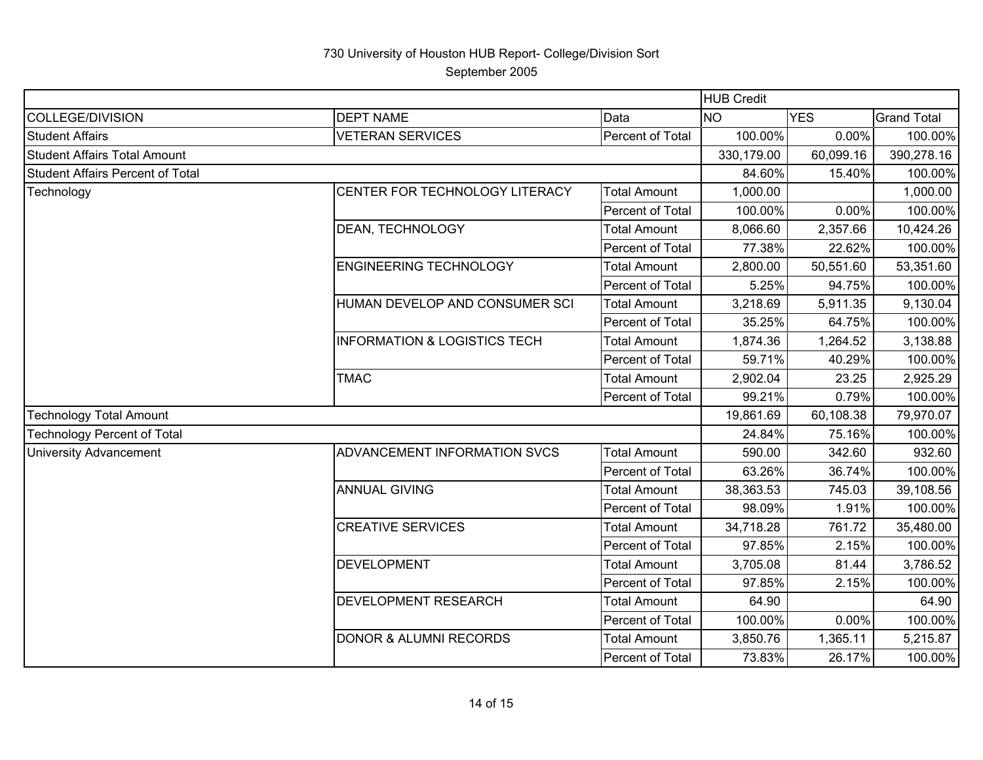|                                         |                                         |                     | <b>HUB Credit</b> |            |                    |
|-----------------------------------------|-----------------------------------------|---------------------|-------------------|------------|--------------------|
| <b>COLLEGE/DIVISION</b>                 | <b>DEPT NAME</b>                        | Data                | <b>NO</b>         | <b>YES</b> | <b>Grand Total</b> |
| <b>Student Affairs</b>                  | <b>VETERAN SERVICES</b>                 | Percent of Total    | 100.00%           | 0.00%      | 100.00%            |
| <b>Student Affairs Total Amount</b>     |                                         |                     | 330,179.00        | 60,099.16  | 390,278.16         |
| <b>Student Affairs Percent of Total</b> |                                         |                     | 84.60%            | 15.40%     | 100.00%            |
| Technology                              | CENTER FOR TECHNOLOGY LITERACY          | <b>Total Amount</b> | 1,000.00          |            | 1,000.00           |
|                                         |                                         | Percent of Total    | 100.00%           | 0.00%      | 100.00%            |
|                                         | DEAN, TECHNOLOGY                        | <b>Total Amount</b> | 8,066.60          | 2,357.66   | 10,424.26          |
|                                         |                                         | Percent of Total    | 77.38%            | 22.62%     | 100.00%            |
|                                         | ENGINEERING TECHNOLOGY                  | <b>Total Amount</b> | 2,800.00          | 50,551.60  | 53,351.60          |
|                                         |                                         | Percent of Total    | 5.25%             | 94.75%     | 100.00%            |
|                                         | HUMAN DEVELOP AND CONSUMER SCI          | <b>Total Amount</b> | 3,218.69          | 5,911.35   | 9,130.04           |
|                                         |                                         | Percent of Total    | 35.25%            | 64.75%     | 100.00%            |
|                                         | <b>INFORMATION &amp; LOGISTICS TECH</b> | <b>Total Amount</b> | 1,874.36          | 1,264.52   | 3,138.88           |
|                                         |                                         | Percent of Total    | 59.71%            | 40.29%     | 100.00%            |
|                                         | <b>TMAC</b>                             | <b>Total Amount</b> | 2,902.04          | 23.25      | 2,925.29           |
|                                         |                                         | Percent of Total    | 99.21%            | 0.79%      | 100.00%            |
| <b>Technology Total Amount</b>          |                                         |                     | 19,861.69         | 60,108.38  | 79,970.07          |
| <b>Technology Percent of Total</b>      |                                         |                     | 24.84%            | 75.16%     | 100.00%            |
| <b>University Advancement</b>           | ADVANCEMENT INFORMATION SVCS            | <b>Total Amount</b> | 590.00            | 342.60     | 932.60             |
|                                         |                                         | Percent of Total    | 63.26%            | 36.74%     | 100.00%            |
|                                         | <b>ANNUAL GIVING</b>                    | <b>Total Amount</b> | 38,363.53         | 745.03     | 39,108.56          |
|                                         |                                         | Percent of Total    | 98.09%            | 1.91%      | 100.00%            |
|                                         | <b>CREATIVE SERVICES</b>                | <b>Total Amount</b> | 34,718.28         | 761.72     | 35,480.00          |
|                                         |                                         | Percent of Total    | 97.85%            | 2.15%      | 100.00%            |
|                                         | <b>DEVELOPMENT</b>                      | <b>Total Amount</b> | 3,705.08          | 81.44      | 3,786.52           |
|                                         |                                         | Percent of Total    | 97.85%            | 2.15%      | 100.00%            |
|                                         | DEVELOPMENT RESEARCH                    | <b>Total Amount</b> | 64.90             |            | 64.90              |
|                                         |                                         | Percent of Total    | 100.00%           | 0.00%      | 100.00%            |
|                                         | <b>DONOR &amp; ALUMNI RECORDS</b>       | <b>Total Amount</b> | 3,850.76          | 1,365.11   | 5,215.87           |
|                                         |                                         | Percent of Total    | 73.83%            | 26.17%     | 100.00%            |